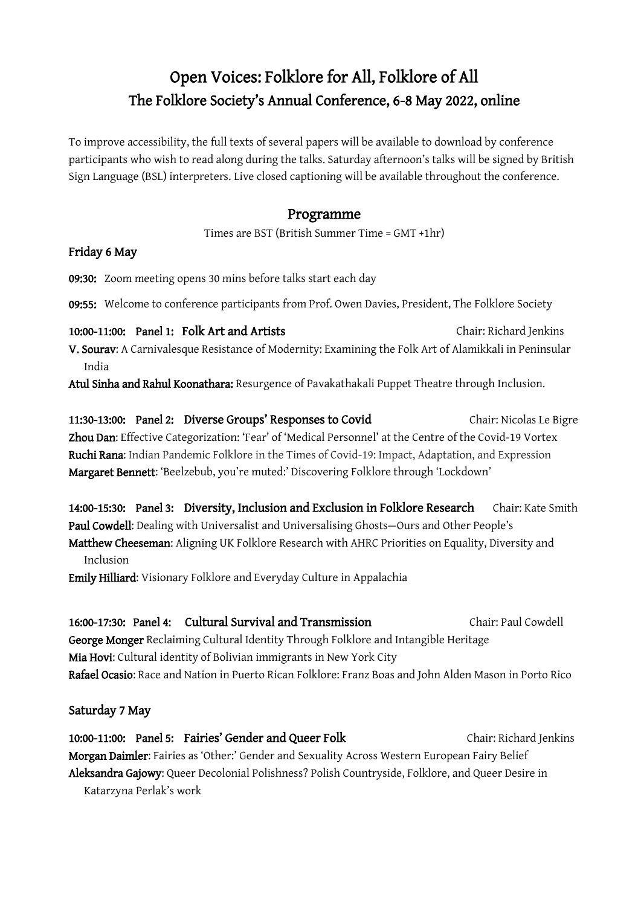# Open Voices: Folklore for All, Folklore of All The Folklore Society's Annual Conference, 6-8 May 2022, online

To improve accessibility, the full texts of several papers will be available to download by conference participants who wish to read along during the talks. Saturday afternoon's talks will be signed by British Sign Language (BSL) interpreters. Live closed captioning will be available throughout the conference.

### Programme

Times are BST (British Summer Time = GMT +1hr)

#### Friday 6 May

09:30: Zoom meeting opens 30 mins before talks start each day

09:55: Welcome to conference participants from Prof. Owen Davies, President, The Folklore Society

10:00-11:00: Panel 1: Folk Art and Artists Chair: Richard Jenkins V. Sourav: A Carnivalesque Resistance of Modernity: Examining the Folk Art of Alamikkali in Peninsular India

Atul Sinha and Rahul Koonathara: Resurgence of Pavakathakali Puppet Theatre through Inclusion.

11:30-13:00: Panel 2: Diverse Groups' Responses to Covid Chair: Nicolas Le Bigre Zhou Dan: Effective Categorization: 'Fear' of 'Medical Personnel' at the Centre of the Covid-19 Vortex Ruchi Rana: Indian Pandemic Folklore in the Times of Covid-19: Impact, Adaptation, and Expression Margaret Bennett: 'Beelzebub, you're muted:' Discovering Folklore through 'Lockdown'

14:00-15:30: Panel 3: Diversity, Inclusion and Exclusion in Folklore Research Chair: Kate Smith Paul Cowdell: Dealing with Universalist and Universalising Ghosts—Ours and Other People's Matthew Cheeseman: Aligning UK Folklore Research with AHRC Priorities on Equality, Diversity and

Emily Hilliard: Visionary Folklore and Everyday Culture in Appalachia

16:00-17:30: Panel 4: Cultural Survival and Transmission Chair: Paul Cowdell George Monger Reclaiming Cultural Identity Through Folklore and Intangible Heritage Mia Hovi: Cultural identity of Bolivian immigrants in New York City Rafael Ocasio: Race and Nation in Puerto Rican Folklore: Franz Boas and John Alden Mason in Porto Rico

### Saturday 7 May

Inclusion

10:00-11:00: Panel 5: Fairies' Gender and Queer Folk Chair: Richard Jenkins Morgan Daimler: Fairies as 'Other:' Gender and Sexuality Across Western European Fairy Belief Aleksandra Gajowy: Queer Decolonial Polishness? Polish Countryside, Folklore, and Queer Desire in Katarzyna Perlak's work